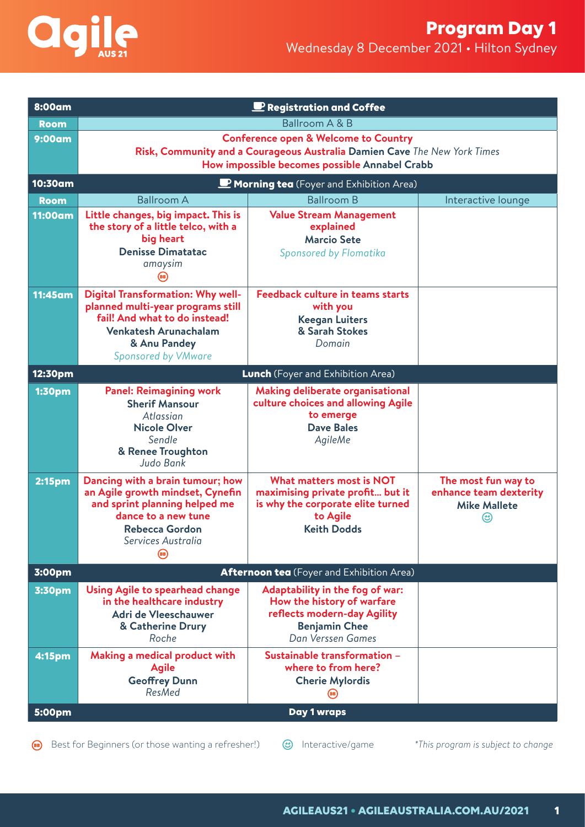

| 8:00am             | Registration and Coffee                                                                                                                                                                      |                                                                                                                                            |                                                                      |  |  |
|--------------------|----------------------------------------------------------------------------------------------------------------------------------------------------------------------------------------------|--------------------------------------------------------------------------------------------------------------------------------------------|----------------------------------------------------------------------|--|--|
| <b>Room</b>        | Ballroom A & B                                                                                                                                                                               |                                                                                                                                            |                                                                      |  |  |
| 9:00am             | <b>Conference open &amp; Welcome to Country</b><br>Risk, Community and a Courageous Australia Damien Cave The New York Times<br>How impossible becomes possible Annabel Crabb                |                                                                                                                                            |                                                                      |  |  |
| 10:30am            | <b>P</b> Morning tea (Foyer and Exhibition Area)                                                                                                                                             |                                                                                                                                            |                                                                      |  |  |
| <b>Room</b>        | <b>Ballroom A</b>                                                                                                                                                                            | <b>Ballroom B</b>                                                                                                                          | Interactive lounge                                                   |  |  |
| <b>11:00am</b>     | Little changes, big impact. This is<br>the story of a little telco, with a<br>big heart<br><b>Denisse Dimatatac</b><br>amaysim<br>(вв)                                                       | <b>Value Stream Management</b><br>explained<br><b>Marcio Sete</b><br>Sponsored by Flomatika                                                |                                                                      |  |  |
| <b>11:45am</b>     | <b>Digital Transformation: Why well-</b><br>planned multi-year programs still<br>fail! And what to do instead!<br><b>Venkatesh Arunachalam</b><br>& Anu Pandey<br><b>Sponsored by VMware</b> | <b>Feedback culture in teams starts</b><br>with you<br><b>Keegan Luiters</b><br>& Sarah Stokes<br>Domain                                   |                                                                      |  |  |
| 12:30pm            |                                                                                                                                                                                              | <b>Lunch</b> (Foyer and Exhibition Area)                                                                                                   |                                                                      |  |  |
| <b>1:30pm</b>      | <b>Panel: Reimagining work</b><br><b>Sherif Mansour</b><br>Atlassian<br><b>Nicole Olver</b><br>Sendle<br>& Renee Troughton<br>Judo Bank                                                      | Making deliberate organisational<br>culture choices and allowing Agile<br>to emerge<br><b>Dave Bales</b><br>AgileMe                        |                                                                      |  |  |
| 2:15 <sub>pm</sub> | Dancing with a brain tumour; how<br>an Agile growth mindset, Cynefin<br>and sprint planning helped me<br>dance to a new tune<br><b>Rebecca Gordon</b><br>Services Australia                  | <b>What matters most is NOT</b><br>maximising private profit but it<br>is why the corporate elite turned<br>to Agile<br><b>Keith Dodds</b> | The most fun way to<br>enhance team dexterity<br><b>Mike Mallete</b> |  |  |
| 3:00pm             |                                                                                                                                                                                              | Afternoon tea (Foyer and Exhibition Area)                                                                                                  |                                                                      |  |  |
| 3:30pm             | Using Agile to spearhead change<br>in the healthcare industry<br>Adri de Vleeschauwer<br>& Catherine Drury<br>Roche                                                                          | Adaptability in the fog of war:<br>How the history of warfare<br>reflects modern-day Agility<br><b>Benjamin Chee</b><br>Dan Verssen Games  |                                                                      |  |  |
| 4:15pm             | <b>Making a medical product with</b><br><b>Agile</b><br><b>Geoffrey Dunn</b><br>ResMed                                                                                                       | Sustainable transformation -<br>where to from here?<br><b>Cherie Mylordis</b>                                                              |                                                                      |  |  |
| 5:00pm             | Day 1 wraps                                                                                                                                                                                  |                                                                                                                                            |                                                                      |  |  |

Best for Beginners (or those wanting a refresher!)  $\bigcirc$  Interactive/game *\*This program is subject to change*